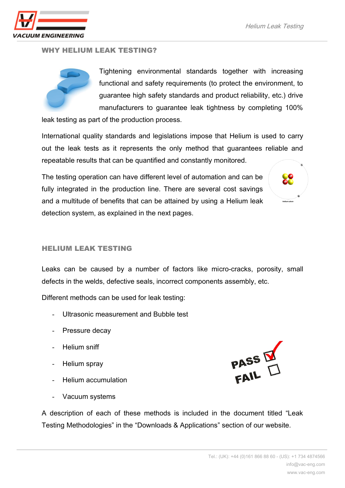

#### WHY HELIUM LEAK TESTING?



Tightening environmental standards together with increasing functional and safety requirements (to protect the environment, to guarantee high safety standards and product reliability, etc.) drive manufacturers to guarantee leak tightness by completing 100%

leak testing as part of the production process.

International quality standards and legislations impose that Helium is used to carry out the leak tests as it represents the only method that guarantees reliable and repeatable results that can be quantified and constantly monitored.

The testing operation can have different level of automation and can be fully integrated in the production line. There are several cost savings and a multitude of benefits that can be attained by using a Helium leak detection system, as explained in the next pages.



#### HELIUM LEAK TESTING

Leaks can be caused by a number of factors like micro-cracks, porosity, small defects in the welds, defective seals, incorrect components assembly, etc.

Different methods can be used for leak testing:

- Ultrasonic measurement and Bubble test
- Pressure decay
- Helium sniff
- Helium spray
- Helium accumulation
- Vacuum systems

A description of each of these methods is included in the document titled "Leak Testing Methodologies" in the "Downloads & Applications" section of our website.

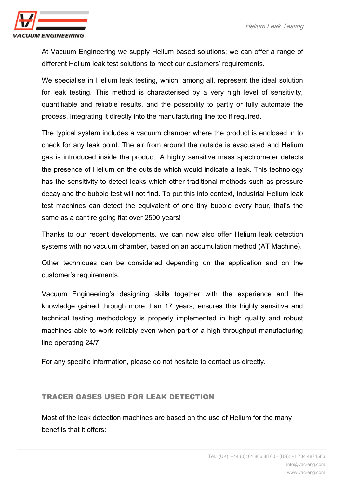

At Vacuum Engineering we supply Helium based solutions; we can offer a range of different Helium leak test solutions to meet our customers' requirements.

We specialise in Helium leak testing, which, among all, represent the ideal solution for leak testing. This method is characterised by a very high level of sensitivity, quantifiable and reliable results, and the possibility to partly or fully automate the process, integrating it directly into the manufacturing line too if required.

The typical system includes a vacuum chamber where the product is enclosed in to check for any leak point. The air from around the outside is evacuated and Helium gas is introduced inside the product. A highly sensitive mass spectrometer detects the presence of Helium on the outside which would indicate a leak. This technology has the sensitivity to detect leaks which other traditional methods such as pressure decay and the bubble test will not find. To put this into context, industrial Helium leak test machines can detect the equivalent of one tiny bubble every hour, that's the same as a car tire going flat over 2500 years!

Thanks to our recent developments, we can now also offer Helium leak detection systems with no vacuum chamber, based on an accumulation method (AT Machine).

Other techniques can be considered depending on the application and on the customer's requirements.

Vacuum Engineering's designing skills together with the experience and the knowledge gained through more than 17 years, ensures this highly sensitive and technical testing methodology is properly implemented in high quality and robust machines able to work reliably even when part of a high throughput manufacturing line operating 24/7.

For any specific information, please do not hesitate to contact us directly.

#### TRACER GASES USED FOR LEAK DETECTION

Most of the leak detection machines are based on the use of Helium for the many benefits that it offers: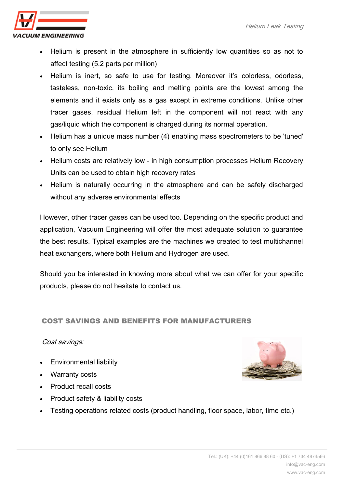

- Helium is present in the atmosphere in sufficiently low quantities so as not to affect testing (5.2 parts per million)
- Helium is inert, so safe to use for testing. Moreover it's colorless, odorless, tasteless, non-toxic, its boiling and melting points are the lowest among the elements and it exists only as a gas except in extreme conditions. Unlike other tracer gases, residual Helium left in the component will not react with any gas/liquid which the component is charged during its normal operation.
- Helium has a unique mass number (4) enabling mass spectrometers to be 'tuned' to only see Helium
- Helium costs are relatively low in high consumption processes Helium Recovery Units can be used to obtain high recovery rates
- Helium is naturally occurring in the atmosphere and can be safely discharged without any adverse environmental effects

However, other tracer gases can be used too. Depending on the specific product and application, Vacuum Engineering will offer the most adequate solution to guarantee the best results. Typical examples are the machines we created to test multichannel heat exchangers, where both Helium and Hydrogen are used.

Should you be interested in knowing more about what we can offer for your specific products, please do not hesitate to contact us.

## COST SAVINGS AND BENEFITS FOR MANUFACTURERS

## Cost savings:

- Environmental liability
- Warranty costs
- Product recall costs
- Product safety & liability costs
- Testing operations related costs (product handling, floor space, labor, time etc.)